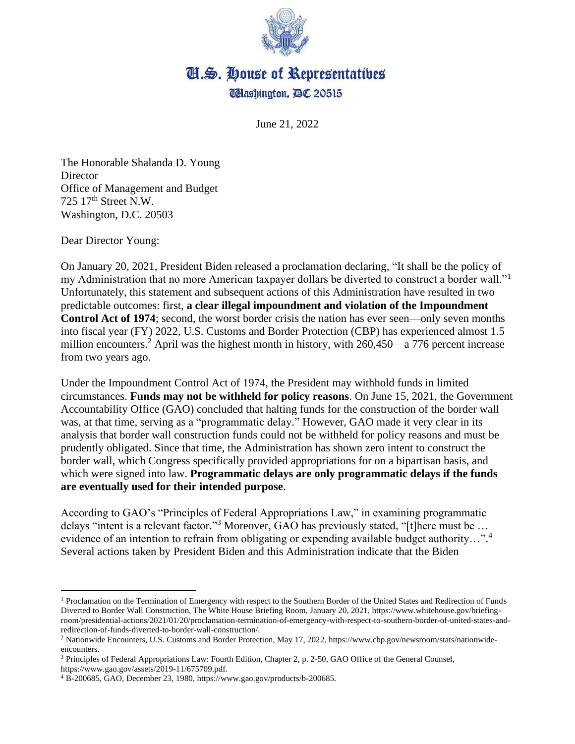

## **II.S. House of Representatives Udlashington, BC 20515**

June 21, 2022

The Honorable Shalanda D. Young **Director** Office of Management and Budget 725  $17<sup>th</sup>$  Street N.W. Washington, D.C. 20503

Dear Director Young:

On January 20, 2021, President Biden released a proclamation declaring, "It shall be the policy of my Administration that no more American taxpayer dollars be diverted to construct a border wall."<sup>1</sup> Unfortunately, this statement and subsequent actions of this Administration have resulted in two predictable outcomes: first, **a clear illegal impoundment and violation of the Impoundment Control Act of 1974**; second, the worst border crisis the nation has ever seen—only seven months into fiscal year (FY) 2022, U.S. Customs and Border Protection (CBP) has experienced almost 1.5 million encounters.<sup>2</sup> April was the highest month in history, with  $260,450$ —a 776 percent increase from two years ago.

Under the Impoundment Control Act of 1974, the President may withhold funds in limited circumstances. **Funds may not be withheld for policy reasons**. On June 15, 2021, the Government Accountability Office (GAO) concluded that halting funds for the construction of the border wall was, at that time, serving as a "programmatic delay." However, GAO made it very clear in its analysis that border wall construction funds could not be withheld for policy reasons and must be prudently obligated. Since that time, the Administration has shown zero intent to construct the border wall, which Congress specifically provided appropriations for on a bipartisan basis, and which were signed into law. **Programmatic delays are only programmatic delays if the funds are eventually used for their intended purpose**.

According to GAO's "Principles of Federal Appropriations Law," in examining programmatic delays "intent is a relevant factor."<sup>3</sup> Moreover, GAO has previously stated, "[t]here must be ... evidence of an intention to refrain from obligating or expending available budget authority...".<sup>4</sup> Several actions taken by President Biden and this Administration indicate that the Biden

<sup>&</sup>lt;sup>1</sup> Proclamation on the Termination of Emergency with respect to the Southern Border of the United States and Redirection of Funds Diverted to Border Wall Construction, The White House Briefing Room, January 20, 2021, https://www.whitehouse.gov/briefingroom/presidential-actions/2021/01/20/proclamation-termination-of-emergency-with-respect-to-southern-border-of-united-states-andredirection-of-funds-diverted-to-border-wall-construction/.

<sup>2</sup> Nationwide Encounters, U.S. Customs and Border Protection, May 17, 2022, https://www.cbp.gov/newsroom/stats/nationwideencounters.

<sup>&</sup>lt;sup>3</sup> Principles of Federal Appropriations Law: Fourth Edition, Chapter 2, p. 2-50, GAO Office of the General Counsel, https://www.gao.gov/assets/2019-11/675709.pdf.

<sup>4</sup> B-200685, GAO, December 23, 1980, https://www.gao.gov/products/b-200685.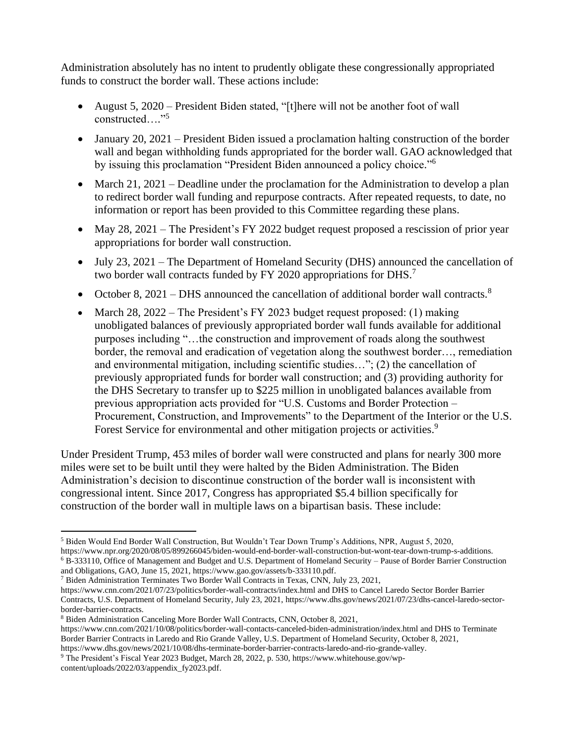Administration absolutely has no intent to prudently obligate these congressionally appropriated funds to construct the border wall. These actions include:

- August 5, 2020 President Biden stated, "[t]here will not be another foot of wall constructed…." 5
- January 20, 2021 President Biden issued a proclamation halting construction of the border wall and began withholding funds appropriated for the border wall. GAO acknowledged that by issuing this proclamation "President Biden announced a policy choice."<sup>6</sup>
- March 21, 2021 Deadline under the proclamation for the Administration to develop a plan to redirect border wall funding and repurpose contracts. After repeated requests, to date, no information or report has been provided to this Committee regarding these plans.
- May 28, 2021 The President's FY 2022 budget request proposed a rescission of prior year appropriations for border wall construction.
- July 23, 2021 The Department of Homeland Security (DHS) announced the cancellation of two border wall contracts funded by FY 2020 appropriations for DHS.<sup>7</sup>
- October 8, 2021 DHS announced the cancellation of additional border wall contracts.<sup>8</sup>
- March 28, 2022 The President's FY 2023 budget request proposed: (1) making unobligated balances of previously appropriated border wall funds available for additional purposes including "…the construction and improvement of roads along the southwest border, the removal and eradication of vegetation along the southwest border…, remediation and environmental mitigation, including scientific studies…"; (2) the cancellation of previously appropriated funds for border wall construction; and (3) providing authority for the DHS Secretary to transfer up to \$225 million in unobligated balances available from previous appropriation acts provided for "U.S. Customs and Border Protection – Procurement, Construction, and Improvements" to the Department of the Interior or the U.S. Forest Service for environmental and other mitigation projects or activities.<sup>9</sup>

Under President Trump, 453 miles of border wall were constructed and plans for nearly 300 more miles were set to be built until they were halted by the Biden Administration. The Biden Administration's decision to discontinue construction of the border wall is inconsistent with congressional intent. Since 2017, Congress has appropriated \$5.4 billion specifically for construction of the border wall in multiple laws on a bipartisan basis. These include:

<sup>7</sup> Biden Administration Terminates Two Border Wall Contracts in Texas, CNN, July 23, 2021,

https://www.cnn.com/2021/07/23/politics/border-wall-contracts/index.html and DHS to Cancel Laredo Sector Border Barrier Contracts, U.S. Department of Homeland Security, July 23, 2021, https://www.dhs.gov/news/2021/07/23/dhs-cancel-laredo-sectorborder-barrier-contracts.

<sup>5</sup> Biden Would End Border Wall Construction, But Wouldn't Tear Down Trump's Additions, NPR, August 5, 2020, https://www.npr.org/2020/08/05/899266045/biden-would-end-border-wall-construction-but-wont-tear-down-trump-s-additions.

 $6$  B-333110, Office of Management and Budget and U.S. Department of Homeland Security – Pause of Border Barrier Construction and Obligations, GAO, June 15, 2021, https://www.gao.gov/assets/b-333110.pdf.

<sup>8</sup> Biden Administration Canceling More Border Wall Contracts, CNN, October 8, 2021,

https://www.cnn.com/2021/10/08/politics/border-wall-contacts-canceled-biden-administration/index.html and DHS to Terminate Border Barrier Contracts in Laredo and Rio Grande Valley, U.S. Department of Homeland Security, October 8, 2021, https://www.dhs.gov/news/2021/10/08/dhs-terminate-border-barrier-contracts-laredo-and-rio-grande-valley.

<sup>9</sup> The President's Fiscal Year 2023 Budget, March 28, 2022, p. 530, https://www.whitehouse.gov/wpcontent/uploads/2022/03/appendix\_fy2023.pdf.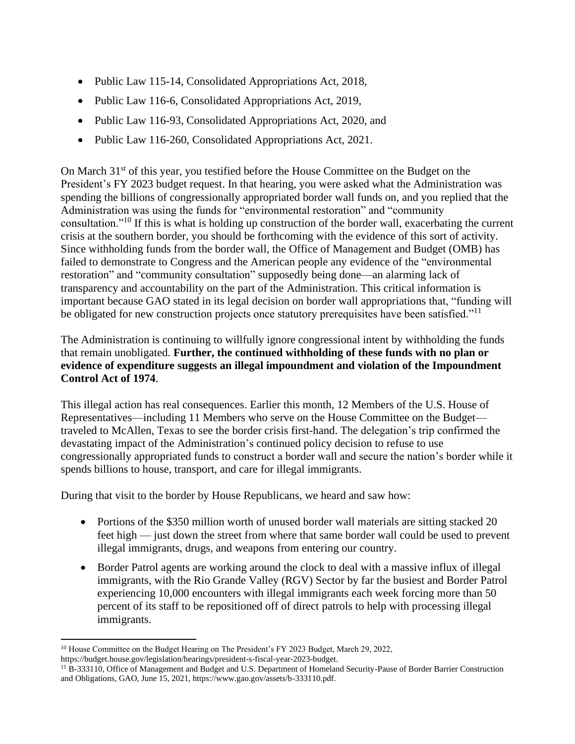- Public Law 115-14, Consolidated Appropriations Act, 2018,
- Public Law 116-6, Consolidated Appropriations Act, 2019,
- Public Law 116-93, Consolidated Appropriations Act, 2020, and
- Public Law 116-260, Consolidated Appropriations Act, 2021.

On March 31<sup>st</sup> of this year, you testified before the House Committee on the Budget on the President's FY 2023 budget request. In that hearing, you were asked what the Administration was spending the billions of congressionally appropriated border wall funds on, and you replied that the Administration was using the funds for "environmental restoration" and "community consultation."<sup>10</sup> If this is what is holding up construction of the border wall, exacerbating the current crisis at the southern border, you should be forthcoming with the evidence of this sort of activity. Since withholding funds from the border wall, the Office of Management and Budget (OMB) has failed to demonstrate to Congress and the American people any evidence of the "environmental restoration" and "community consultation" supposedly being done—an alarming lack of transparency and accountability on the part of the Administration. This critical information is important because GAO stated in its legal decision on border wall appropriations that, "funding will be obligated for new construction projects once statutory prerequisites have been satisfied."<sup>11</sup>

The Administration is continuing to willfully ignore congressional intent by withholding the funds that remain unobligated. **Further, the continued withholding of these funds with no plan or evidence of expenditure suggests an illegal impoundment and violation of the Impoundment Control Act of 1974**.

This illegal action has real consequences. Earlier this month, 12 Members of the U.S. House of Representatives—including 11 Members who serve on the House Committee on the Budget traveled to McAllen, Texas to see the border crisis first-hand. The delegation's trip confirmed the devastating impact of the Administration's continued policy decision to refuse to use congressionally appropriated funds to construct a border wall and secure the nation's border while it spends billions to house, transport, and care for illegal immigrants.

During that visit to the border by House Republicans, we heard and saw how:

- Portions of the \$350 million worth of unused border wall materials are sitting stacked 20 feet high — just down the street from where that same border wall could be used to prevent illegal immigrants, drugs, and weapons from entering our country.
- Border Patrol agents are working around the clock to deal with a massive influx of illegal immigrants, with the Rio Grande Valley (RGV) Sector by far the busiest and Border Patrol experiencing 10,000 encounters with illegal immigrants each week forcing more than 50 percent of its staff to be repositioned off of direct patrols to help with processing illegal immigrants.

<sup>&</sup>lt;sup>10</sup> House Committee on the Budget Hearing on The President's FY 2023 Budget, March 29, 2022, https://budget.house.gov/legislation/hearings/president-s-fiscal-year-2023-budget.

 $11$  B-333110, Office of Management and Budget and U.S. Department of Homeland Security-Pause of Border Barrier Construction and Obligations, GAO, June 15, 2021, https://www.gao.gov/assets/b-333110.pdf.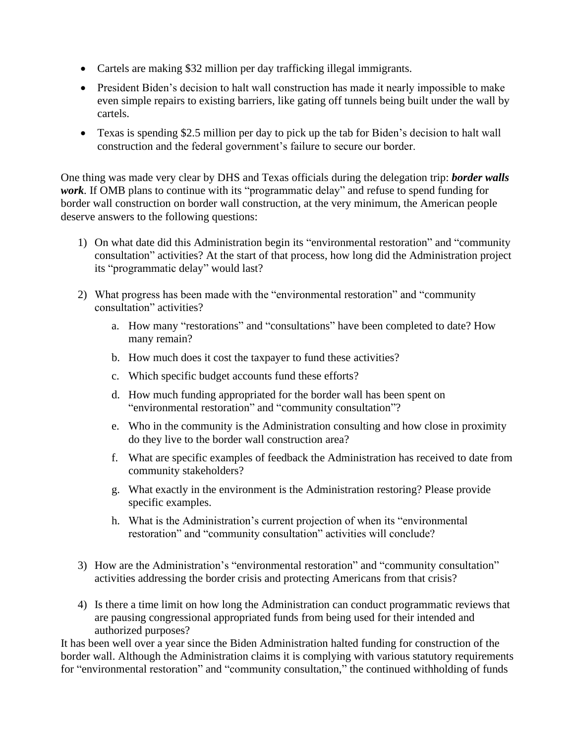- Cartels are making \$32 million per day trafficking illegal immigrants.
- President Biden's decision to halt wall construction has made it nearly impossible to make even simple repairs to existing barriers, like gating off tunnels being built under the wall by cartels.
- Texas is spending \$2.5 million per day to pick up the tab for Biden's decision to halt wall construction and the federal government's failure to secure our border.

One thing was made very clear by DHS and Texas officials during the delegation trip: *border walls work.* If OMB plans to continue with its "programmatic delay" and refuse to spend funding for border wall construction on border wall construction, at the very minimum, the American people deserve answers to the following questions:

- 1) On what date did this Administration begin its "environmental restoration" and "community consultation" activities? At the start of that process, how long did the Administration project its "programmatic delay" would last?
- 2) What progress has been made with the "environmental restoration" and "community consultation" activities?
	- a. How many "restorations" and "consultations" have been completed to date? How many remain?
	- b. How much does it cost the taxpayer to fund these activities?
	- c. Which specific budget accounts fund these efforts?
	- d. How much funding appropriated for the border wall has been spent on "environmental restoration" and "community consultation"?
	- e. Who in the community is the Administration consulting and how close in proximity do they live to the border wall construction area?
	- f. What are specific examples of feedback the Administration has received to date from community stakeholders?
	- g. What exactly in the environment is the Administration restoring? Please provide specific examples.
	- h. What is the Administration's current projection of when its "environmental restoration" and "community consultation" activities will conclude?
- 3) How are the Administration's "environmental restoration" and "community consultation" activities addressing the border crisis and protecting Americans from that crisis?
- 4) Is there a time limit on how long the Administration can conduct programmatic reviews that are pausing congressional appropriated funds from being used for their intended and authorized purposes?

It has been well over a year since the Biden Administration halted funding for construction of the border wall. Although the Administration claims it is complying with various statutory requirements for "environmental restoration" and "community consultation," the continued withholding of funds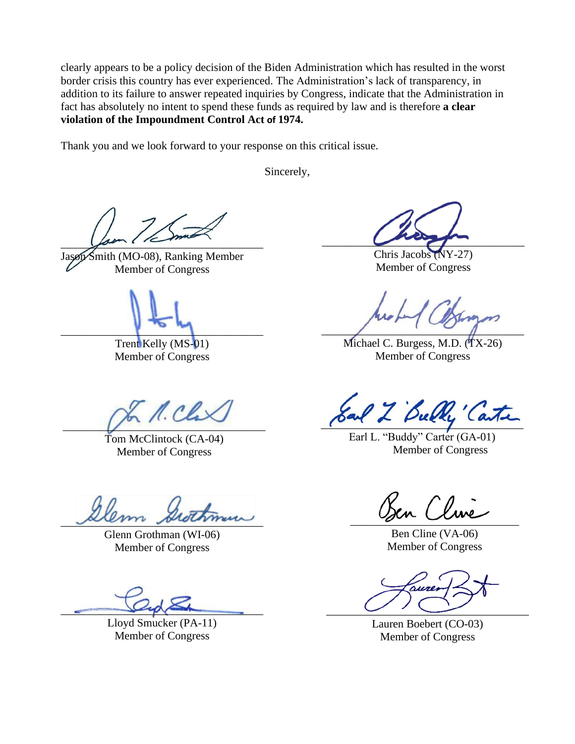clearly appears to be a policy decision of the Biden Administration which has resulted in the worst border crisis this country has ever experienced. The Administration's lack of transparency, in addition to its failure to answer repeated inquiries by Congress, indicate that the Administration in fact has absolutely no intent to spend these funds as required by law and is therefore **a clear violation of the Impoundment Control Act of 1974.**

Thank you and we look forward to your response on this critical issue.

Sincerely,

 $f$ 

 $Smith (MO-08)$ , Ranking Member Member of Congress

 $\blacksquare$ 

Trent Kelly (MS-01) Member of Congress

 $n_{\ell}$  $\overline{\phantom{a}}$ 

Tom McClintock (CA-04) Member of Congress

alem sudamin

Glenn Grothman (WI-06) Member of Congress

 $\bigcup\{A\}\bigcap$ 

Lloyd Smucker (PA-11) Member of Congress

 $\overline{\phantom{a}}$ 

Chris Jacobs (NY-27) Member of Congress

 $\overline{\phantom{a}}$ 

Michael C. Burgess, M.D. (TX-26) Member of Congress

al Z Bully' Can

Earl L. "Buddy" Carter (GA-01) Member of Congress

 $\int$  line

Ben Cline (VA-06) Member of Congress

 $\begin{array}{c} \begin{array}{c} \begin{array}{c} \begin{array}{c} \end{array} \end{array} \end{array}$ 

Lauren Boebert (CO-03) Member of Congress